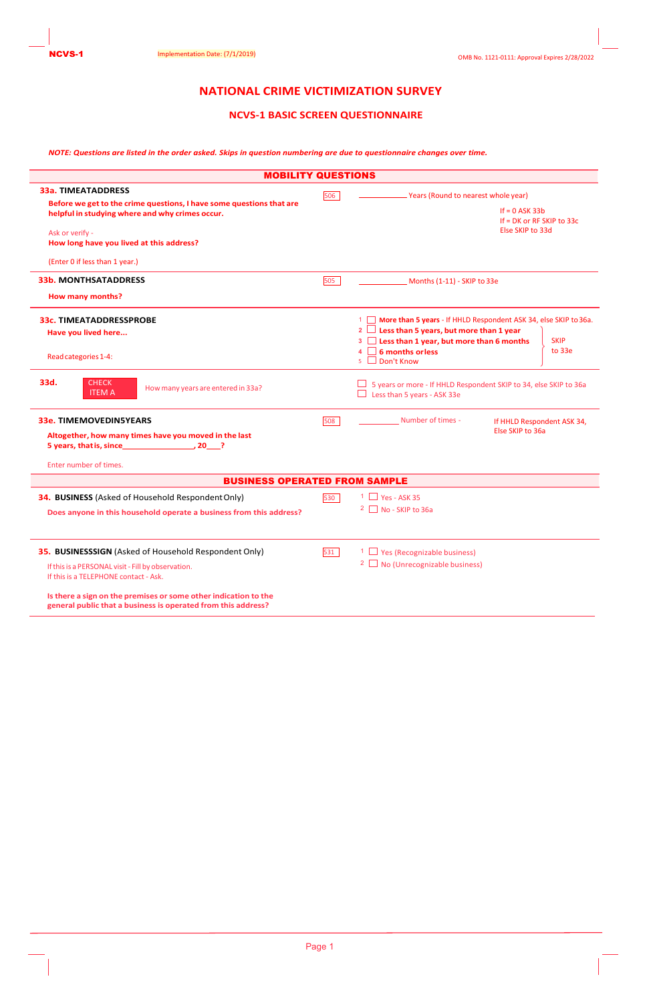## **NATIONAL CRIME VICTIMIZATION SURVEY**

## **NCVS-1 BASIC SCREEN QUESTIONNAIRE**

*NOTE: Questions are listed in the order asked. Skips in question numbering are due to questionnaire changes over time.*

|                                                                                                                                                                                                                                                                                                                                          | <b>MOBILITY QUESTIONS</b>                                                                                                                                                                                                                                       |
|------------------------------------------------------------------------------------------------------------------------------------------------------------------------------------------------------------------------------------------------------------------------------------------------------------------------------------------|-----------------------------------------------------------------------------------------------------------------------------------------------------------------------------------------------------------------------------------------------------------------|
| <b>33a. TIMEATADDRESS</b><br>Before we get to the crime questions, I have some questions that are<br>helpful in studying where and why crimes occur.<br>Ask or verify -<br>How long have you lived at this address?<br>(Enter 0 if less than 1 year.)                                                                                    | 506<br><b>Years (Round to nearest whole year)</b><br>If $= 0$ ASK 33b<br>If $= DK$ or RF SKIP to 33c<br>Else SKIP to 33d                                                                                                                                        |
| <b>33b. MONTHSATADDRESS</b><br><b>How many months?</b>                                                                                                                                                                                                                                                                                   | 505<br>Months (1-11) - SKIP to 33e                                                                                                                                                                                                                              |
| <b>33c. TIMEATADDRESSPROBE</b><br>Have you lived here<br>Read categories 1-4:                                                                                                                                                                                                                                                            | 1 More than 5 years - If HHLD Respondent ASK 34, else SKIP to 36a.<br>2 $\Box$ Less than 5 years, but more than 1 year<br>3 <b>Less than 1 year, but more than 6 months</b><br><b>SKIP</b><br>to 33e<br>$\Box$ 6 months or less<br>Don't Know<br>5 <sup>7</sup> |
| <b>CHECK</b><br>33d.<br>How many years are entered in 33a?<br><b>ITEM A</b>                                                                                                                                                                                                                                                              | 5 years or more - If HHLD Respondent SKIP to 34, else SKIP to 36a<br>Less than 5 years - ASK 33e                                                                                                                                                                |
| <b>33e. TIMEMOVEDIN5YEARS</b><br>Altogether, how many times have you moved in the last<br>Enter number of times.                                                                                                                                                                                                                         | Number of times -<br>508<br>If HHLD Respondent ASK 34,<br>Else SKIP to 36a                                                                                                                                                                                      |
|                                                                                                                                                                                                                                                                                                                                          | <b>BUSINESS OPERATED FROM SAMPLE</b>                                                                                                                                                                                                                            |
| 34. BUSINESS (Asked of Household Respondent Only)<br>Does anyone in this household operate a business from this address?                                                                                                                                                                                                                 | $1 \Box$ Yes - ASK 35<br>530<br>$2 \Box$ No - SKIP to 36a                                                                                                                                                                                                       |
| 35. BUSINESSSIGN (Asked of Household Respondent Only)<br>If this is a PERSONAL visit - Fill by observation.<br>If this is a TELEPHONE contact - Ask.<br>Is there a sign on the premises or some other indication to the<br>that the collection and an activities of the collection of the collection of the collection of the collection | $1 \square$ Yes (Recognizable business)<br>531<br>2 No (Unrecognizable business)                                                                                                                                                                                |

**general public that a business is operated from this address?**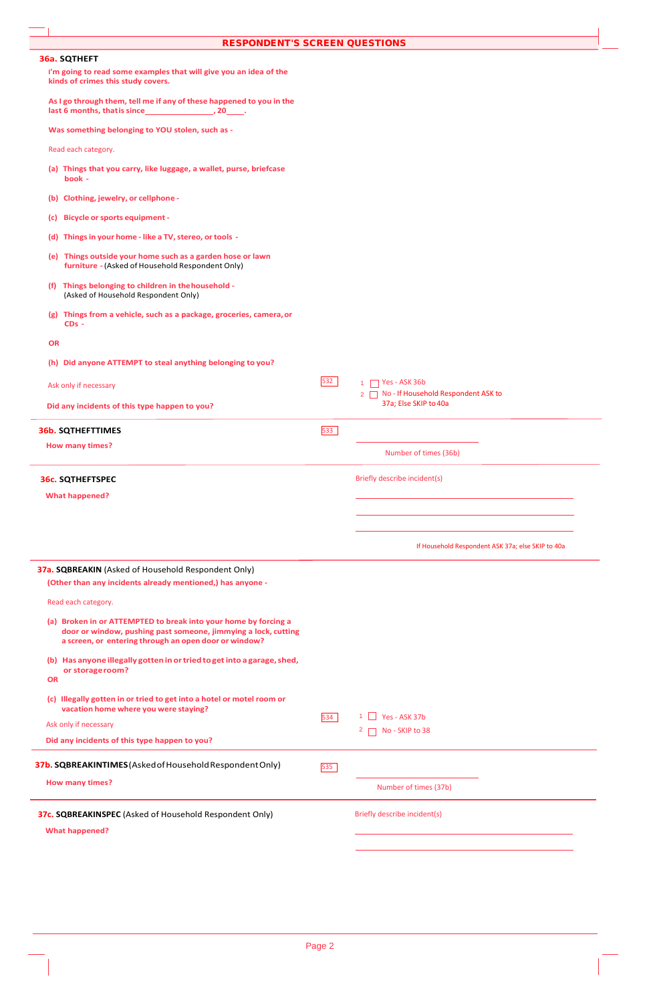| <b>RESPONDENT'S SCREEN QUESTIONS</b>                                                                                                                                                       |     |                                                                |
|--------------------------------------------------------------------------------------------------------------------------------------------------------------------------------------------|-----|----------------------------------------------------------------|
| 36a. SQTHEFT                                                                                                                                                                               |     |                                                                |
| I'm going to read some examples that will give you an idea of the<br>kinds of crimes this study covers.                                                                                    |     |                                                                |
| As I go through them, tell me if any of these happened to you in the                                                                                                                       |     |                                                                |
| Was something belonging to YOU stolen, such as -                                                                                                                                           |     |                                                                |
| Read each category.                                                                                                                                                                        |     |                                                                |
| (a) Things that you carry, like luggage, a wallet, purse, briefcase<br>book -                                                                                                              |     |                                                                |
| (b) Clothing, jewelry, or cellphone -                                                                                                                                                      |     |                                                                |
| <b>Bicycle or sports equipment -</b><br>(c)                                                                                                                                                |     |                                                                |
| (d) Things in your home - like a TV, stereo, or tools -                                                                                                                                    |     |                                                                |
| (e) Things outside your home such as a garden hose or lawn<br>furniture - (Asked of Household Respondent Only)                                                                             |     |                                                                |
| (f) Things belonging to children in the household -<br>(Asked of Household Respondent Only)                                                                                                |     |                                                                |
| (g) Things from a vehicle, such as a package, groceries, camera, or<br>$CDs -$                                                                                                             |     |                                                                |
| <b>OR</b>                                                                                                                                                                                  |     |                                                                |
| (h) Did anyone ATTEMPT to steal anything belonging to you?                                                                                                                                 |     |                                                                |
| Ask only if necessary                                                                                                                                                                      | 532 | $\Box$ Yes - ASK 36b<br>$\mathbf{1}$                           |
| Did any incidents of this type happen to you?                                                                                                                                              |     | 2 No - If Household Respondent ASK to<br>37a; Else SKIP to 40a |
|                                                                                                                                                                                            |     |                                                                |
| <b>36b. SQTHEFTTIMES</b>                                                                                                                                                                   | 533 |                                                                |
| <b>How many times?</b>                                                                                                                                                                     |     | Number of times (36b)                                          |
| <b>36c. SQTHEFTSPEC</b>                                                                                                                                                                    |     | Briefly describe incident(s)                                   |
| <b>What happened?</b>                                                                                                                                                                      |     |                                                                |
|                                                                                                                                                                                            |     |                                                                |
|                                                                                                                                                                                            |     |                                                                |
|                                                                                                                                                                                            |     | If Household Respondent ASK 37a; else SKIP to 40a              |
| 37a. SQBREAKIN (Asked of Household Respondent Only)<br>(Other than any incidents already mentioned,) has anyone -                                                                          |     |                                                                |
| Read each category.                                                                                                                                                                        |     |                                                                |
| (a) Broken in or ATTEMPTED to break into your home by forcing a<br>door or window, pushing past someone, jimmying a lock, cutting<br>a screen, or entering through an open door or window? |     |                                                                |
| (b) Has anyone illegally gotten in or tried to get into a garage, shed,<br>or storage room?                                                                                                |     |                                                                |
| <b>OR</b>                                                                                                                                                                                  |     |                                                                |
| (c) Illegally gotten in or tried to get into a hotel or motel room or<br>vacation home where you were staying?                                                                             | 534 | Yes - ASK 37b<br>- 1                                           |
| Ask only if necessary                                                                                                                                                                      |     | 2 No - SKIP to 38                                              |
| Did any incidents of this type happen to you?                                                                                                                                              |     |                                                                |
| 37b. SQBREAKINTIMES (Asked of Household Respondent Only)                                                                                                                                   | 535 |                                                                |
| <b>How many times?</b>                                                                                                                                                                     |     | Number of times (37b)                                          |
|                                                                                                                                                                                            |     |                                                                |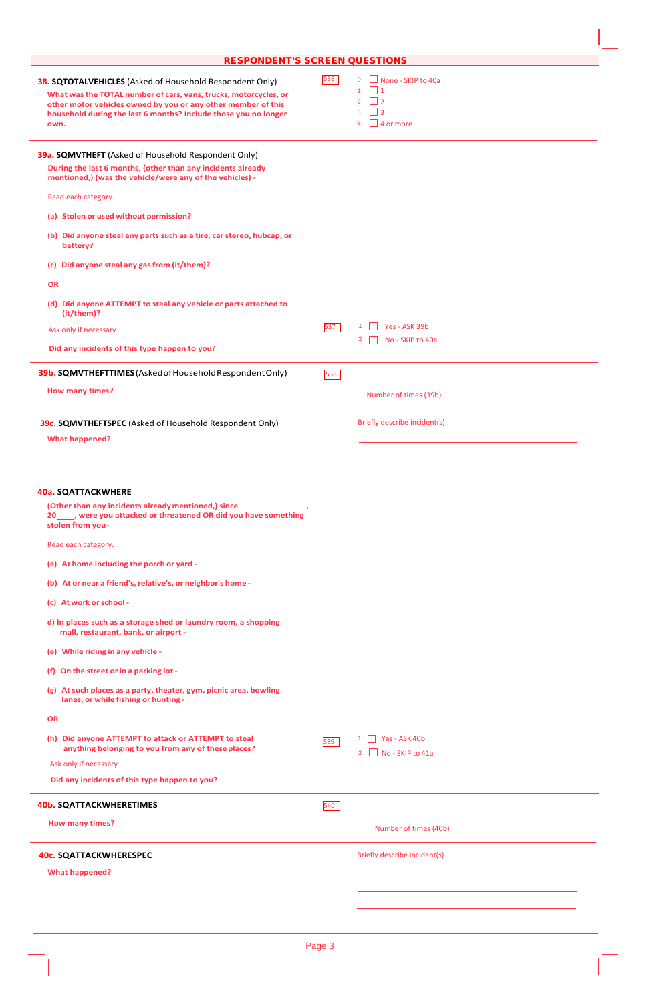| <b>RESPONDENT'S SCREEN QUESTIONS</b>                                                                                                                                                                                                                                            |     |                                                                                                                                 |  |
|---------------------------------------------------------------------------------------------------------------------------------------------------------------------------------------------------------------------------------------------------------------------------------|-----|---------------------------------------------------------------------------------------------------------------------------------|--|
| <b>38. SQTOTALVEHICLES</b> (Asked of Household Respondent Only)<br>What was the TOTAL number of cars, vans, trucks, motorcycles, or<br>other motor vehicles owned by you or any other member of this<br>household during the last 6 months? Include those you no longer<br>own. | 536 | $\Box$ None - SKIP to 40a<br>$\overline{0}$<br>$\vert$ 1<br>1<br>$\vert$ 2<br>$\overline{2}$<br>- 13<br>3<br>$\sqrt{4}$ or more |  |
| 39a. SQMVTHEFT (Asked of Household Respondent Only)<br>During the last 6 months, (other than any incidents already<br>mentioned,) (was the vehicle/were any of the vehicles) -                                                                                                  |     |                                                                                                                                 |  |
| Read each category.                                                                                                                                                                                                                                                             |     |                                                                                                                                 |  |
| (a) Stolen or used without permission?                                                                                                                                                                                                                                          |     |                                                                                                                                 |  |
| (b) Did anyone steal any parts such as a tire, car stereo, hubcap, or<br>battery?                                                                                                                                                                                               |     |                                                                                                                                 |  |
| (c) Did anyone steal any gas from (it/them)?                                                                                                                                                                                                                                    |     |                                                                                                                                 |  |
| <b>OR</b>                                                                                                                                                                                                                                                                       |     |                                                                                                                                 |  |
| (d) Did anyone ATTEMPT to steal any vehicle or parts attached to<br>(it/them)?                                                                                                                                                                                                  |     |                                                                                                                                 |  |
| Ask only if necessary                                                                                                                                                                                                                                                           | 537 | Yes - ASK 39b<br>No - SKIP to 40a<br>2                                                                                          |  |
| Did any incidents of this type happen to you?                                                                                                                                                                                                                                   |     |                                                                                                                                 |  |
| 39b. SQMVTHEFTTIMES (Asked of Household Respondent Only)                                                                                                                                                                                                                        | 538 |                                                                                                                                 |  |
|                                                                                                                                                                                                                                                                                 |     |                                                                                                                                 |  |
| <b>How many times?</b><br>39c. SQMVTHEFTSPEC (Asked of Household Respondent Only)<br><b>What happened?</b>                                                                                                                                                                      |     | Number of times (39b)<br>Briefly describe incident(s)                                                                           |  |
| <b>40a. SQATTACKWHERE</b><br>(Other than any incidents already mentioned,) since_<br>20_____, were you attacked or threatened OR did you have something                                                                                                                         |     |                                                                                                                                 |  |
| stolen from you-<br>Read each category.                                                                                                                                                                                                                                         |     |                                                                                                                                 |  |
| (a) At home including the porch or yard -                                                                                                                                                                                                                                       |     |                                                                                                                                 |  |
| (b) At or near a friend's, relative's, or neighbor's home -                                                                                                                                                                                                                     |     |                                                                                                                                 |  |
| (c) At work or school -                                                                                                                                                                                                                                                         |     |                                                                                                                                 |  |
| d) In places such as a storage shed or laundry room, a shopping<br>mall, restaurant, bank, or airport -                                                                                                                                                                         |     |                                                                                                                                 |  |
| (e) While riding in any vehicle -                                                                                                                                                                                                                                               |     |                                                                                                                                 |  |
| (f) On the street or in a parking lot -                                                                                                                                                                                                                                         |     |                                                                                                                                 |  |
| (g) At such places as a party, theater, gym, picnic area, bowling<br>lanes, or while fishing or hunting -                                                                                                                                                                       |     |                                                                                                                                 |  |
| <b>OR</b>                                                                                                                                                                                                                                                                       |     |                                                                                                                                 |  |
| (h) Did anyone ATTEMPT to attack or ATTEMPT to steal<br>anything belonging to you from any of these places?                                                                                                                                                                     | 539 | 1 Yes - ASK 40b<br>$2$ No - SKIP to 41a                                                                                         |  |
| Ask only if necessary                                                                                                                                                                                                                                                           |     |                                                                                                                                 |  |
| Did any incidents of this type happen to you?                                                                                                                                                                                                                                   |     |                                                                                                                                 |  |
| <b>40b. SQATTACKWHERETIMES</b>                                                                                                                                                                                                                                                  | 540 |                                                                                                                                 |  |
| How many times?                                                                                                                                                                                                                                                                 |     | Number of times (40b)                                                                                                           |  |
| <b>40c. SQATTACKWHERESPEC</b>                                                                                                                                                                                                                                                   |     | Briefly describe incident(s)                                                                                                    |  |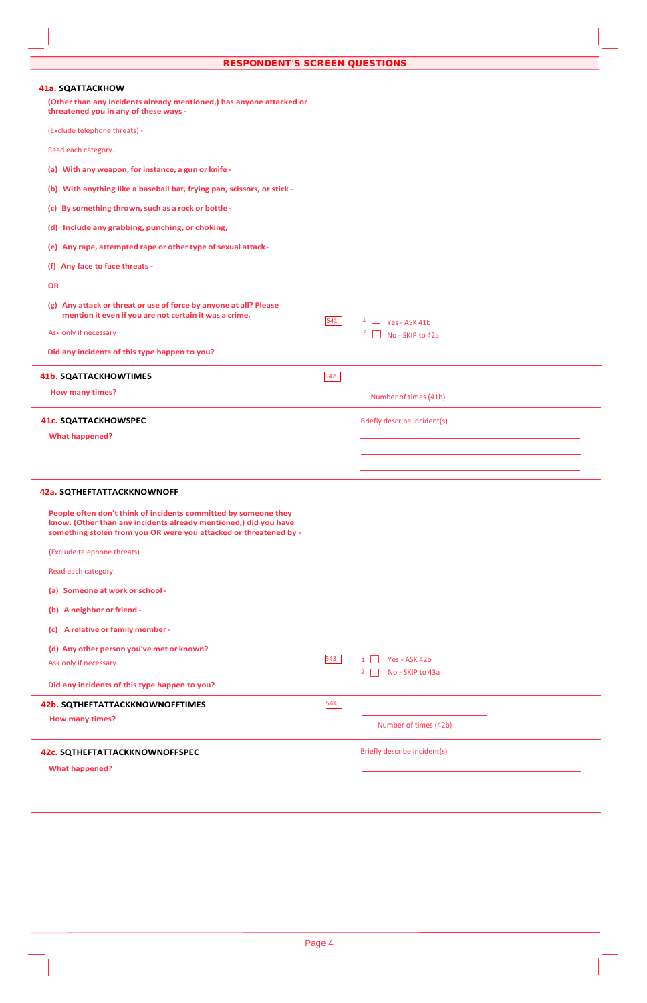| 41a. SQATTACKHOW                                                                                                                                                                                         |     |                                                   |
|----------------------------------------------------------------------------------------------------------------------------------------------------------------------------------------------------------|-----|---------------------------------------------------|
| (Other than any incidents already mentioned,) has anyone attacked or<br>threatened you in any of these ways -                                                                                            |     |                                                   |
| (Exclude telephone threats) -                                                                                                                                                                            |     |                                                   |
| Read each category.                                                                                                                                                                                      |     |                                                   |
| (a) With any weapon, for instance, a gun or knife -                                                                                                                                                      |     |                                                   |
| (b) With anything like a baseball bat, frying pan, scissors, or stick -                                                                                                                                  |     |                                                   |
| (c) By something thrown, such as a rock or bottle -                                                                                                                                                      |     |                                                   |
| (d) Include any grabbing, punching, or choking,                                                                                                                                                          |     |                                                   |
| (e) Any rape, attempted rape or other type of sexual attack -                                                                                                                                            |     |                                                   |
| (f) Any face to face threats -                                                                                                                                                                           |     |                                                   |
| OR                                                                                                                                                                                                       |     |                                                   |
| (g) Any attack or threat or use of force by anyone at all? Please<br>mention it even if you are not certain it was a crime.                                                                              | 541 | $1 \Box$ Yes - ASK 41b                            |
| Ask only if necessary                                                                                                                                                                                    |     | $2 \Box$ No - SKIP to 42a                         |
| Did any incidents of this type happen to you?                                                                                                                                                            |     |                                                   |
| <b>41b. SQATTACKHOWTIMES</b>                                                                                                                                                                             | 542 |                                                   |
| <b>How many times?</b>                                                                                                                                                                                   |     | Number of times (41b)                             |
| <b>41c. SQATTACKHOWSPEC</b>                                                                                                                                                                              |     | Briefly describe incident(s)                      |
| <b>What happened?</b>                                                                                                                                                                                    |     |                                                   |
|                                                                                                                                                                                                          |     |                                                   |
|                                                                                                                                                                                                          |     |                                                   |
| 42a. SQTHEFTATTACKKNOWNOFF                                                                                                                                                                               |     |                                                   |
| People often don't think of incidents committed by someone they<br>know. (Other than any incidents already mentioned,) did you have<br>something stolen from you OR were you attacked or threatened by - |     |                                                   |
| (Exclude telephone threats)                                                                                                                                                                              |     |                                                   |
| Read each category.                                                                                                                                                                                      |     |                                                   |
| (a) Someone at work or school -                                                                                                                                                                          |     |                                                   |
| (b) A neighbor or friend -                                                                                                                                                                               |     |                                                   |
| (c) A relative or family member -                                                                                                                                                                        |     |                                                   |
| (d) Any other person you've met or known?                                                                                                                                                                |     |                                                   |
| Ask only if necessary                                                                                                                                                                                    | 543 | Yes - ASK 42b<br>No - SKIP to 43a<br>$\mathbf{2}$ |
| Did any incidents of this type happen to you?                                                                                                                                                            |     |                                                   |
| 42b. SQTHEFTATTACKKNOWNOFFTIMES                                                                                                                                                                          | 544 |                                                   |
| <b>How many times?</b>                                                                                                                                                                                   |     | Number of times (42b)                             |
| 42c. SQTHEFTATTACKKNOWNOFFSPEC                                                                                                                                                                           |     | Briefly describe incident(s)                      |
| <b>What happened?</b>                                                                                                                                                                                    |     |                                                   |
|                                                                                                                                                                                                          |     |                                                   |
|                                                                                                                                                                                                          |     |                                                   |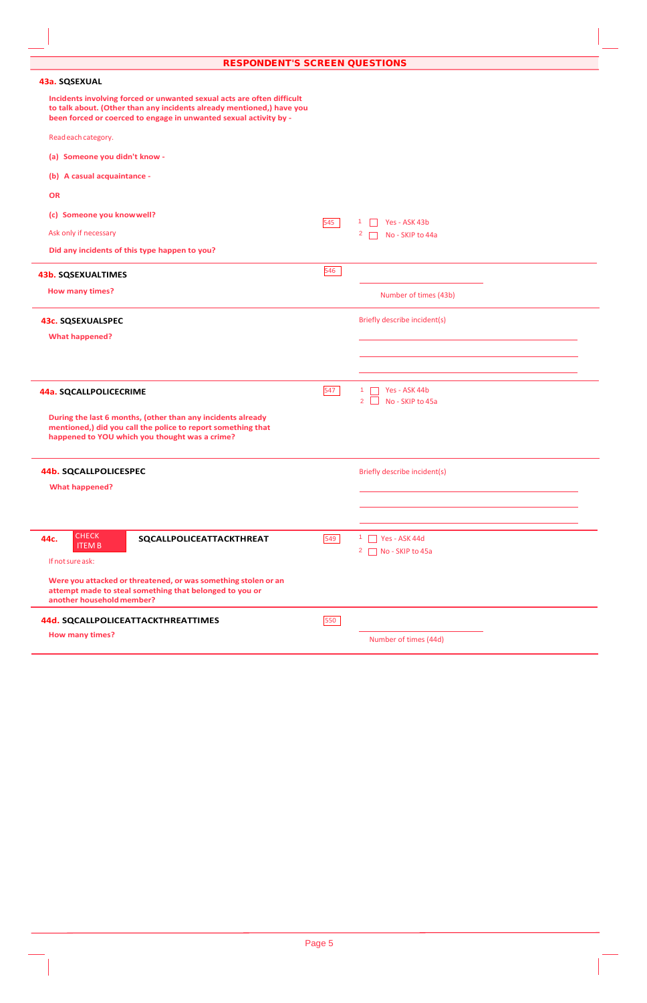**RESPONDENT'S SCREEN QUESTIONS** 

| Incidents involving forced or unwanted sexual acts are often difficult<br>to talk about. (Other than any incidents already mentioned,) have you<br>been forced or coerced to engage in unwanted sexual activity by -<br>Read each category.<br>(a) Someone you didn't know -<br>(b) A casual acquaintance -<br><b>OR</b><br>(c) Someone you know well?<br>545<br>Yes - ASK 43b<br>Ask only if necessary<br>$\mathbf{2}$<br>No - SKIP to 44a<br>Did any incidents of this type happen to you?<br>546<br><b>43b. SQSEXUALTIMES</b><br><b>How many times?</b><br>Number of times (43b)<br>Briefly describe incident(s)<br><b>43c. SQSEXUALSPEC</b><br><b>What happened?</b><br>547<br>Yes - ASK 44b<br>$\mathbf{1}$<br>44a. SQCALLPOLICECRIME<br>No - SKIP to 45a<br>$\overline{2}$<br>During the last 6 months, (other than any incidents already<br>mentioned,) did you call the police to report something that<br>happened to YOU which you thought was a crime?<br><b>44b. SQCALLPOLICESPEC</b><br>Briefly describe incident(s)<br><b>What happened?</b><br><b>CHECK</b><br>44c.<br>549<br>$1$ Yes - ASK 44d<br>SQCALLPOLICEATTACKTHREAT<br><b>ITEMB</b><br>No - SKIP to 45a<br>$\mathbf{Z}$<br>If not sure ask:<br>Were you attacked or threatened, or was something stolen or an<br>attempt made to steal something that belonged to you or<br>another household member?<br>550<br>44d. SQCALLPOLICEATTACKTHREATTIMES<br><b>How many times?</b> | 43a. SQSEXUAL |                       |
|-----------------------------------------------------------------------------------------------------------------------------------------------------------------------------------------------------------------------------------------------------------------------------------------------------------------------------------------------------------------------------------------------------------------------------------------------------------------------------------------------------------------------------------------------------------------------------------------------------------------------------------------------------------------------------------------------------------------------------------------------------------------------------------------------------------------------------------------------------------------------------------------------------------------------------------------------------------------------------------------------------------------------------------------------------------------------------------------------------------------------------------------------------------------------------------------------------------------------------------------------------------------------------------------------------------------------------------------------------------------------------------------------------------------------------------------------------|---------------|-----------------------|
|                                                                                                                                                                                                                                                                                                                                                                                                                                                                                                                                                                                                                                                                                                                                                                                                                                                                                                                                                                                                                                                                                                                                                                                                                                                                                                                                                                                                                                                     |               |                       |
|                                                                                                                                                                                                                                                                                                                                                                                                                                                                                                                                                                                                                                                                                                                                                                                                                                                                                                                                                                                                                                                                                                                                                                                                                                                                                                                                                                                                                                                     |               |                       |
|                                                                                                                                                                                                                                                                                                                                                                                                                                                                                                                                                                                                                                                                                                                                                                                                                                                                                                                                                                                                                                                                                                                                                                                                                                                                                                                                                                                                                                                     |               |                       |
|                                                                                                                                                                                                                                                                                                                                                                                                                                                                                                                                                                                                                                                                                                                                                                                                                                                                                                                                                                                                                                                                                                                                                                                                                                                                                                                                                                                                                                                     |               |                       |
|                                                                                                                                                                                                                                                                                                                                                                                                                                                                                                                                                                                                                                                                                                                                                                                                                                                                                                                                                                                                                                                                                                                                                                                                                                                                                                                                                                                                                                                     |               |                       |
|                                                                                                                                                                                                                                                                                                                                                                                                                                                                                                                                                                                                                                                                                                                                                                                                                                                                                                                                                                                                                                                                                                                                                                                                                                                                                                                                                                                                                                                     |               |                       |
|                                                                                                                                                                                                                                                                                                                                                                                                                                                                                                                                                                                                                                                                                                                                                                                                                                                                                                                                                                                                                                                                                                                                                                                                                                                                                                                                                                                                                                                     |               |                       |
|                                                                                                                                                                                                                                                                                                                                                                                                                                                                                                                                                                                                                                                                                                                                                                                                                                                                                                                                                                                                                                                                                                                                                                                                                                                                                                                                                                                                                                                     |               |                       |
|                                                                                                                                                                                                                                                                                                                                                                                                                                                                                                                                                                                                                                                                                                                                                                                                                                                                                                                                                                                                                                                                                                                                                                                                                                                                                                                                                                                                                                                     |               |                       |
|                                                                                                                                                                                                                                                                                                                                                                                                                                                                                                                                                                                                                                                                                                                                                                                                                                                                                                                                                                                                                                                                                                                                                                                                                                                                                                                                                                                                                                                     |               |                       |
|                                                                                                                                                                                                                                                                                                                                                                                                                                                                                                                                                                                                                                                                                                                                                                                                                                                                                                                                                                                                                                                                                                                                                                                                                                                                                                                                                                                                                                                     |               |                       |
|                                                                                                                                                                                                                                                                                                                                                                                                                                                                                                                                                                                                                                                                                                                                                                                                                                                                                                                                                                                                                                                                                                                                                                                                                                                                                                                                                                                                                                                     |               |                       |
|                                                                                                                                                                                                                                                                                                                                                                                                                                                                                                                                                                                                                                                                                                                                                                                                                                                                                                                                                                                                                                                                                                                                                                                                                                                                                                                                                                                                                                                     |               |                       |
|                                                                                                                                                                                                                                                                                                                                                                                                                                                                                                                                                                                                                                                                                                                                                                                                                                                                                                                                                                                                                                                                                                                                                                                                                                                                                                                                                                                                                                                     |               |                       |
|                                                                                                                                                                                                                                                                                                                                                                                                                                                                                                                                                                                                                                                                                                                                                                                                                                                                                                                                                                                                                                                                                                                                                                                                                                                                                                                                                                                                                                                     |               |                       |
|                                                                                                                                                                                                                                                                                                                                                                                                                                                                                                                                                                                                                                                                                                                                                                                                                                                                                                                                                                                                                                                                                                                                                                                                                                                                                                                                                                                                                                                     |               |                       |
|                                                                                                                                                                                                                                                                                                                                                                                                                                                                                                                                                                                                                                                                                                                                                                                                                                                                                                                                                                                                                                                                                                                                                                                                                                                                                                                                                                                                                                                     |               |                       |
|                                                                                                                                                                                                                                                                                                                                                                                                                                                                                                                                                                                                                                                                                                                                                                                                                                                                                                                                                                                                                                                                                                                                                                                                                                                                                                                                                                                                                                                     |               |                       |
|                                                                                                                                                                                                                                                                                                                                                                                                                                                                                                                                                                                                                                                                                                                                                                                                                                                                                                                                                                                                                                                                                                                                                                                                                                                                                                                                                                                                                                                     |               |                       |
|                                                                                                                                                                                                                                                                                                                                                                                                                                                                                                                                                                                                                                                                                                                                                                                                                                                                                                                                                                                                                                                                                                                                                                                                                                                                                                                                                                                                                                                     |               |                       |
|                                                                                                                                                                                                                                                                                                                                                                                                                                                                                                                                                                                                                                                                                                                                                                                                                                                                                                                                                                                                                                                                                                                                                                                                                                                                                                                                                                                                                                                     |               |                       |
|                                                                                                                                                                                                                                                                                                                                                                                                                                                                                                                                                                                                                                                                                                                                                                                                                                                                                                                                                                                                                                                                                                                                                                                                                                                                                                                                                                                                                                                     |               |                       |
|                                                                                                                                                                                                                                                                                                                                                                                                                                                                                                                                                                                                                                                                                                                                                                                                                                                                                                                                                                                                                                                                                                                                                                                                                                                                                                                                                                                                                                                     |               |                       |
|                                                                                                                                                                                                                                                                                                                                                                                                                                                                                                                                                                                                                                                                                                                                                                                                                                                                                                                                                                                                                                                                                                                                                                                                                                                                                                                                                                                                                                                     |               |                       |
|                                                                                                                                                                                                                                                                                                                                                                                                                                                                                                                                                                                                                                                                                                                                                                                                                                                                                                                                                                                                                                                                                                                                                                                                                                                                                                                                                                                                                                                     |               |                       |
|                                                                                                                                                                                                                                                                                                                                                                                                                                                                                                                                                                                                                                                                                                                                                                                                                                                                                                                                                                                                                                                                                                                                                                                                                                                                                                                                                                                                                                                     |               | Number of times (44d) |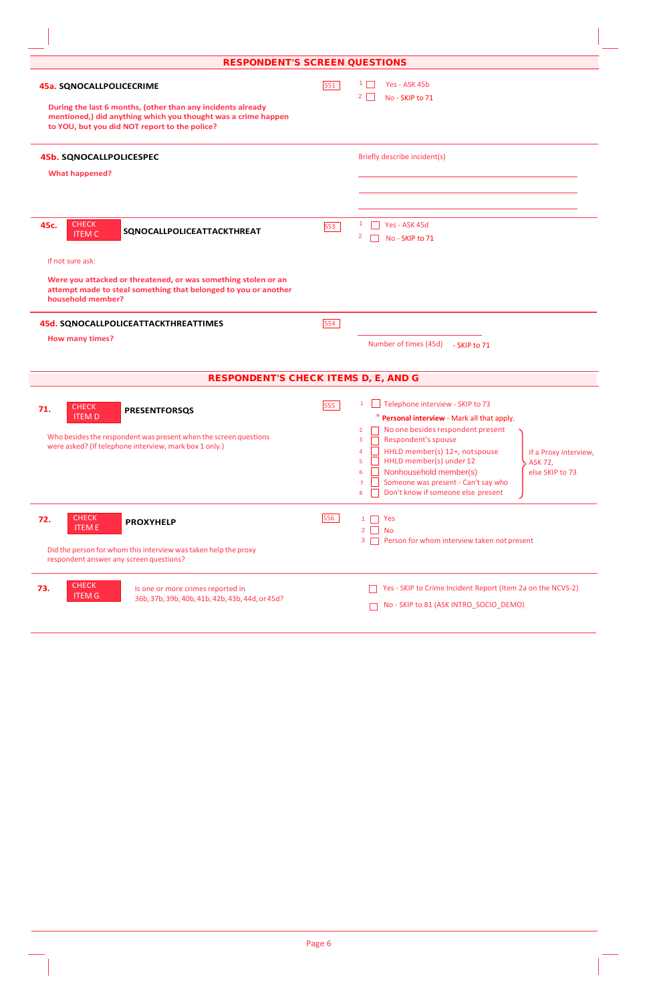| <b>RESPONDENT'S SCREEN QUESTIONS</b>                                                                                                                                                                                                              |     |                                                                                                                                                                                                                                                                                                                                                                                                                                                 |
|---------------------------------------------------------------------------------------------------------------------------------------------------------------------------------------------------------------------------------------------------|-----|-------------------------------------------------------------------------------------------------------------------------------------------------------------------------------------------------------------------------------------------------------------------------------------------------------------------------------------------------------------------------------------------------------------------------------------------------|
| <b>45a. SQNOCALLPOLICECRIME</b><br>During the last 6 months, (other than any incidents already<br>mentioned,) did anything which you thought was a crime happen<br>to YOU, but you did NOT report to the police?                                  | 551 | Yes - ASK 45b<br>$2 \mid$<br>No - SKIP to 71                                                                                                                                                                                                                                                                                                                                                                                                    |
| <b>45b. SQNOCALLPOLICESPEC</b><br><b>What happened?</b>                                                                                                                                                                                           |     | Briefly describe incident(s)                                                                                                                                                                                                                                                                                                                                                                                                                    |
| <b>CHECK</b><br>45c.<br>SQNOCALLPOLICEATTACKTHREAT<br><b>ITEM C</b><br>If not sure ask:<br>Were you attacked or threatened, or was something stolen or an<br>attempt made to steal something that belonged to you or another<br>household member? | 553 | 1<br>Yes - ASK 45d<br>$\overline{2}$<br>No - SKIP to 71                                                                                                                                                                                                                                                                                                                                                                                         |
| <b>45d. SQNOCALLPOLICEATTACKTHREATTIMES</b><br><b>How many times?</b><br><b>RESPONDENT'S CHECK ITEMS D, E, AND G</b>                                                                                                                              | 554 | Number of times (45d) - SKIP to 71                                                                                                                                                                                                                                                                                                                                                                                                              |
| <b>CHECK</b><br>71.<br><b>PRESENTFORSQS</b><br><b>ITEM D</b><br>Who besides the respondent was present when the screen questions<br>were asked? (If telephone interview, mark box 1 only.)                                                        | 555 | Telephone interview - SKIP to 73<br>1<br>* Personal interview - Mark all that apply.<br>No one besides respondent present<br>2<br>Respondent's spouse<br>3<br>HHLD member(s) 12+, not spouse<br>$\overline{4}$<br>If a Proxy interview,<br>HHLD member(s) under 12<br>5<br><b>ASK 72,</b><br>Nonhousehold member(s)<br>else SKIP to 73<br>6<br>Someone was present - Can't say who<br>$\overline{7}$<br>Don't know if someone else present<br>8 |
| <b>CHECK</b><br>72.<br><b>PROXYHELP</b><br><b>ITEME</b><br>Did the person for whom this interview was taken help the proxy<br>respondent answer any screen questions?                                                                             | 556 | Yes<br>1.<br>$2 \Box$<br><b>No</b><br>Person for whom interview taken not present<br>3                                                                                                                                                                                                                                                                                                                                                          |
| <b>CHECK</b><br>73.<br>Is one or more crimes reported in<br><b>ITEM G</b><br>36b, 37b, 39b, 40b, 41b, 42b, 43b, 44d, or 45d?                                                                                                                      |     | Yes - SKIP to Crime Incident Report (Item 2a on the NCVS-2)<br>No - SKIP to 81 (ASK INTRO_SOCIO_DEMO)                                                                                                                                                                                                                                                                                                                                           |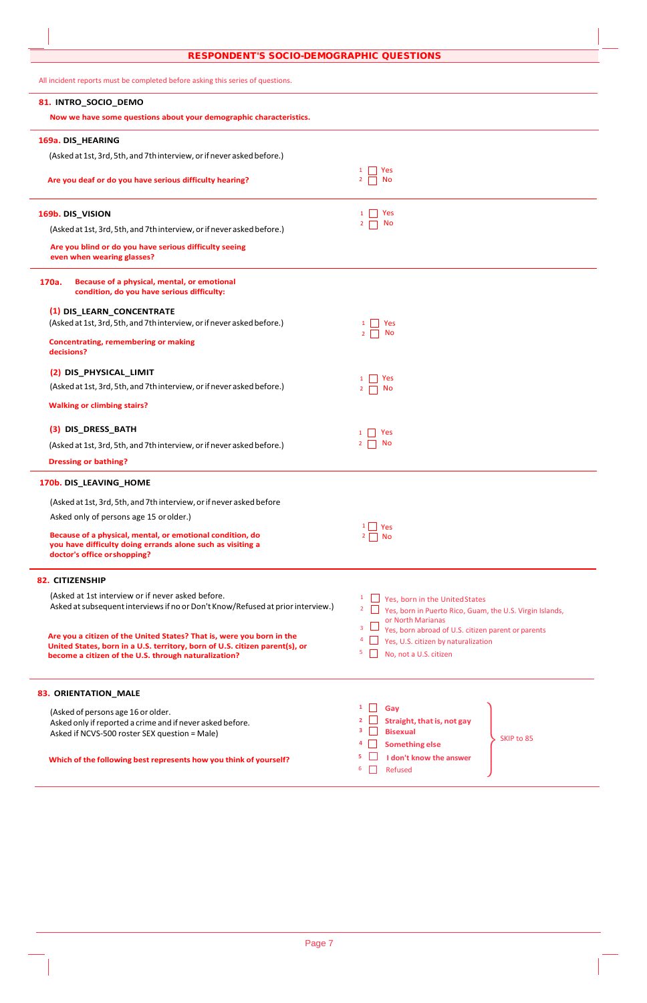All incident reports must be completed before asking this series of questions.

| 81. INTRO_SOCIO_DEMO                                                                                                                                                                                         |                                                                                                                               |
|--------------------------------------------------------------------------------------------------------------------------------------------------------------------------------------------------------------|-------------------------------------------------------------------------------------------------------------------------------|
| Now we have some questions about your demographic characteristics.                                                                                                                                           |                                                                                                                               |
| 169a. DIS_HEARING                                                                                                                                                                                            |                                                                                                                               |
| (Asked at 1st, 3rd, 5th, and 7th interview, or if never asked before.)                                                                                                                                       |                                                                                                                               |
| Are you deaf or do you have serious difficulty hearing?                                                                                                                                                      | Yes<br>No                                                                                                                     |
| 169b. DIS_VISION                                                                                                                                                                                             | Yes<br>No<br>$\overline{2}$                                                                                                   |
| (Asked at 1st, 3rd, 5th, and 7th interview, or if never asked before.)                                                                                                                                       |                                                                                                                               |
| Are you blind or do you have serious difficulty seeing<br>even when wearing glasses?                                                                                                                         |                                                                                                                               |
| Because of a physical, mental, or emotional<br>170a.<br>condition, do you have serious difficulty:                                                                                                           |                                                                                                                               |
| (1) DIS_LEARN_CONCENTRATE                                                                                                                                                                                    |                                                                                                                               |
| (Asked at 1st, 3rd, 5th, and 7th interview, or if never asked before.)                                                                                                                                       | Yes<br>$\mathbf{1}$<br>No<br>2 <sub>1</sub>                                                                                   |
| <b>Concentrating, remembering or making</b><br>decisions?                                                                                                                                                    |                                                                                                                               |
| (2) DIS_PHYSICAL_LIMIT                                                                                                                                                                                       | Yes                                                                                                                           |
| (Asked at 1st, 3rd, 5th, and 7th interview, or if never asked before.)                                                                                                                                       | No                                                                                                                            |
| <b>Walking or climbing stairs?</b>                                                                                                                                                                           |                                                                                                                               |
| (3) DIS_DRESS_BATH                                                                                                                                                                                           | <b>Yes</b>                                                                                                                    |
| (Asked at 1st, 3rd, 5th, and 7th interview, or if never asked before.)                                                                                                                                       | No                                                                                                                            |
| <b>Dressing or bathing?</b>                                                                                                                                                                                  |                                                                                                                               |
| 170b. DIS_LEAVING_HOME                                                                                                                                                                                       |                                                                                                                               |
| (Asked at 1st, 3rd, 5th, and 7th interview, or if never asked before                                                                                                                                         |                                                                                                                               |
| Asked only of persons age 15 or older.)                                                                                                                                                                      | $1 \square$ Yes                                                                                                               |
| Because of a physical, mental, or emotional condition, do<br>you have difficulty doing errands alone such as visiting a<br>doctor's office or shopping?                                                      | $2 \Box$ No                                                                                                                   |
| <b>82. CITIZENSHIP</b>                                                                                                                                                                                       |                                                                                                                               |
| (Asked at 1st interview or if never asked before.<br>Asked at subsequent interviews if no or Don't Know/Refused at prior interview.)                                                                         | Yes, born in the United States<br>Yes, born in Puerto Rico, Guam, the U.S. Virgin Islands,<br>or North Marianas               |
| Are you a citizen of the United States? That is, were you born in the<br>United States, born in a U.S. territory, born of U.S. citizen parent(s), or<br>become a citizen of the U.S. through naturalization? | Yes, born abroad of U.S. citizen parent or parents<br>Yes, U.S. citizen by naturalization<br>4<br>5<br>No, not a U.S. citizen |
| 83. ORIENTATION_MALE                                                                                                                                                                                         |                                                                                                                               |
| (Asked of persons age 16 or older.<br>Asked only if reported a crime and if never asked before.<br>Asked if NCVS-500 roster SEX question = Male)                                                             | Gay<br>Straight, that is, not gay<br><b>Bisexual</b><br>3<br>SKIP to 85<br><b>Something else</b>                              |
| Which of the following best represents how you think of yourself?                                                                                                                                            | I don't know the answer<br>6<br>Refused                                                                                       |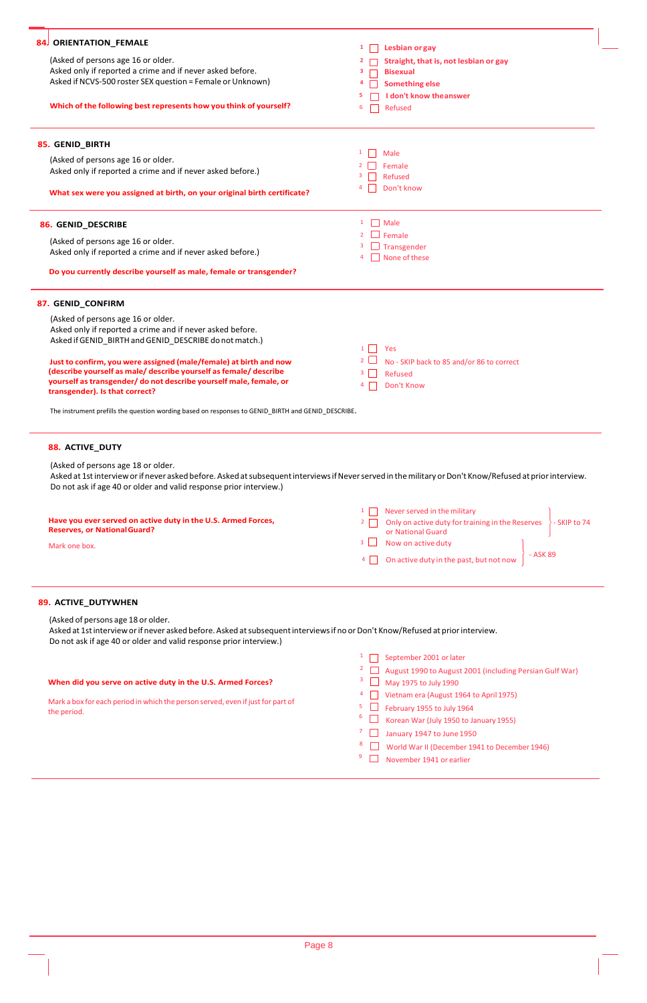| 84 ORIENTATION_FEMALE                                                                                                                                                                                                     | <b>Lesbian or gay</b><br>$1 \mid$                                               |
|---------------------------------------------------------------------------------------------------------------------------------------------------------------------------------------------------------------------------|---------------------------------------------------------------------------------|
| (Asked of persons age 16 or older.                                                                                                                                                                                        | Straight, that is, not lesbian or gay<br>2                                      |
| Asked only if reported a crime and if never asked before.                                                                                                                                                                 | 3                                                                               |
| Asked if NCVS-500 roster SEX question = Female or Unknown)                                                                                                                                                                | <b>Bisexual</b><br>4                                                            |
|                                                                                                                                                                                                                           | <b>Something else</b>                                                           |
|                                                                                                                                                                                                                           | I don't know the answer<br>5                                                    |
| Which of the following best represents how you think of yourself?                                                                                                                                                         | 6<br>Refused                                                                    |
| 85. GENID_BIRTH                                                                                                                                                                                                           |                                                                                 |
|                                                                                                                                                                                                                           | 1<br>Male                                                                       |
| (Asked of persons age 16 or older.                                                                                                                                                                                        | Female                                                                          |
| Asked only if reported a crime and if never asked before.)                                                                                                                                                                | Refused<br>з                                                                    |
|                                                                                                                                                                                                                           | Don't know                                                                      |
| What sex were you assigned at birth, on your original birth certificate?                                                                                                                                                  |                                                                                 |
| 86. GENID_DESCRIBE                                                                                                                                                                                                        | $\Box$ Male<br>$\mathbf{1}$                                                     |
|                                                                                                                                                                                                                           | $\Box$ Female                                                                   |
| (Asked of persons age 16 or older.                                                                                                                                                                                        | $\Box$ Transgender                                                              |
| Asked only if reported a crime and if never asked before.)                                                                                                                                                                | $\Box$ None of these                                                            |
| Do you currently describe yourself as male, female or transgender?                                                                                                                                                        |                                                                                 |
| 87. GENID_CONFIRM                                                                                                                                                                                                         |                                                                                 |
|                                                                                                                                                                                                                           |                                                                                 |
| (Asked of persons age 16 or older.                                                                                                                                                                                        |                                                                                 |
| Asked only if reported a crime and if never asked before.                                                                                                                                                                 |                                                                                 |
| Asked if GENID_BIRTH and GENID_DESCRIBE do not match.)                                                                                                                                                                    | $1 \mid$<br>Yes                                                                 |
|                                                                                                                                                                                                                           |                                                                                 |
| Just to confirm, you were assigned (male/female) at birth and now                                                                                                                                                         |                                                                                 |
|                                                                                                                                                                                                                           | No - SKIP back to 85 and/or 86 to correct                                       |
| (describe yourself as male/ describe yourself as female/ describe                                                                                                                                                         | $3 \mid \cdot \mid$<br><b>Refused</b>                                           |
| yourself as transgender/ do not describe yourself male, female, or                                                                                                                                                        | Don't Know<br>4                                                                 |
| transgender). Is that correct?<br>The instrument prefills the question wording based on responses to GENID_BIRTH and GENID_DESCRIBE.                                                                                      |                                                                                 |
| <b>88. ACTIVE_DUTY</b><br>(Asked of persons age 18 or older.<br>Asked at 1st interview or if never asked before. Asked at subsequent interviews if Never served in the military or Don't Know/Refused at prior interview. |                                                                                 |
| Do not ask if age 40 or older and valid response prior interview.)                                                                                                                                                        |                                                                                 |
|                                                                                                                                                                                                                           | Never served in the military<br>$\mathbf{1}$                                    |
| Have you ever served on active duty in the U.S. Armed Forces,                                                                                                                                                             | Only on active duty for training in the Reserves > SKIP to 74<br>2 <sub>1</sub> |
| <b>Reserves, or National Guard?</b>                                                                                                                                                                                       | or National Guard                                                               |
|                                                                                                                                                                                                                           | $3 \mid$<br>Now on active duty                                                  |
| Mark one box.                                                                                                                                                                                                             | - ASK 89<br>On active duty in the past, but not now                             |
|                                                                                                                                                                                                                           |                                                                                 |
| 89. ACTIVE_DUTYWHEN                                                                                                                                                                                                       |                                                                                 |
| (Asked of persons age 18 or older.                                                                                                                                                                                        |                                                                                 |
|                                                                                                                                                                                                                           |                                                                                 |
| Asked at 1st interview or if never asked before. Asked at subsequent interviews if no or Don't Know/Refused at prior interview.                                                                                           |                                                                                 |
| Do not ask if age 40 or older and valid response prior interview.)                                                                                                                                                        |                                                                                 |
|                                                                                                                                                                                                                           | September 2001 or later                                                         |
|                                                                                                                                                                                                                           | August 1990 to August 2001 (including Persian Gulf War)                         |
|                                                                                                                                                                                                                           | 3                                                                               |
| When did you serve on active duty in the U.S. Armed Forces?                                                                                                                                                               | May 1975 to July 1990                                                           |
| Mark a box for each period in which the person served, even if just for part of                                                                                                                                           | Vietnam era (August 1964 to April 1975)                                         |
| the period.                                                                                                                                                                                                               | February 1955 to July 1964<br>5                                                 |
|                                                                                                                                                                                                                           | 6<br>Korean War (July 1950 to January 1955)                                     |
|                                                                                                                                                                                                                           |                                                                                 |
|                                                                                                                                                                                                                           | January 1947 to June 1950                                                       |
|                                                                                                                                                                                                                           | World War II (December 1941 to December 1946)<br>9<br>November 1941 or earlier  |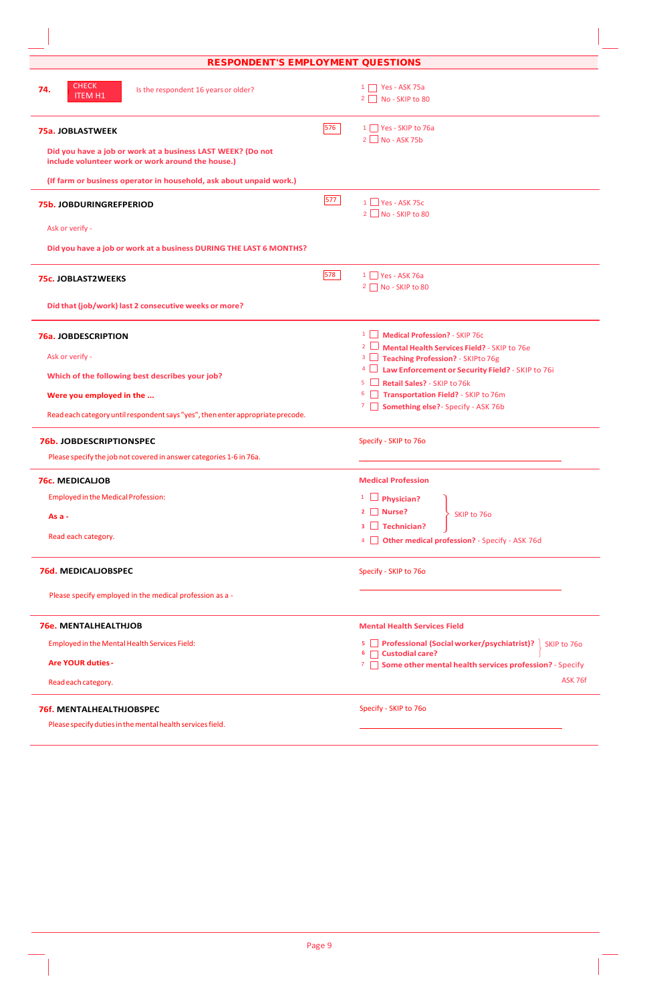| <b>RESPONDENT'S EMPLOYMENT QUESTIONS</b>                                                                         |                                                                                                 |
|------------------------------------------------------------------------------------------------------------------|-------------------------------------------------------------------------------------------------|
| <b>CHECK</b><br>74.<br>Is the respondent 16 years or older?<br><b>ITEM H1</b>                                    | $1 \Box$ Yes - ASK 75a<br>2 No - SKIP to 80                                                     |
| 75a. JOBLASTWEEK                                                                                                 | 576<br>1 Yes - SKIP to 76a<br>$2 \Box$ No - ASK 75b                                             |
| Did you have a job or work at a business LAST WEEK? (Do not<br>include volunteer work or work around the house.) |                                                                                                 |
| (If farm or business operator in household, ask about unpaid work.)                                              |                                                                                                 |
| <b>75b. JOBDURINGREFPERIOD</b>                                                                                   | 577<br>$1$ $\blacksquare$ Yes - ASK 75c<br>$2 \Box$ No - SKIP to 80                             |
| Ask or verify -                                                                                                  |                                                                                                 |
| Did you have a job or work at a business DURING THE LAST 6 MONTHS?                                               |                                                                                                 |
| <b>75c. JOBLAST2WEEKS</b>                                                                                        | 578<br>$1 \square$ Yes - ASK 76a<br>2 No - SKIP to 80                                           |
| Did that (job/work) last 2 consecutive weeks or more?                                                            |                                                                                                 |
| 76a. JOBDESCRIPTION                                                                                              | <sup>1</sup> Medical Profession? - SKIP 76c                                                     |
| Ask or verify -                                                                                                  | 2 Mental Health Services Field? - SKIP to 76e<br><sup>3</sup> Teaching Profession? - SKIPto 76g |
| Which of the following best describes your job?                                                                  | Law Enforcement or Security Field? - SKIP to 76i<br>$4$ $\Box$                                  |
| Were you employed in the                                                                                         | $5 \Box$<br>Retail Sales? - SKIP to 76k<br>6 Transportation Field? - SKIP to 76m                |
|                                                                                                                  | 7 Something else? - Specify - ASK 76b                                                           |
| Read each category until respondent says "yes", then enter appropriate precode.                                  |                                                                                                 |
| 76b. JOBDESCRIPTIONSPEC                                                                                          | Specify - SKIP to 760                                                                           |
| Please specify the job not covered in answer categories 1-6 in 76a.                                              |                                                                                                 |
| <b>76c. MEDICALIOB</b>                                                                                           | <b>Medical Profession</b>                                                                       |
| <b>Employed in the Medical Profession:</b>                                                                       | $1 \Box$ Physician?                                                                             |
| As $a -$                                                                                                         | $2 \Box$ Nurse?<br>SKIP to 76o                                                                  |
| Read each category.                                                                                              | $3 \Box$ Technician?                                                                            |
|                                                                                                                  | 4 <b>Other medical profession?</b> - Specify - ASK 76d                                          |
| <b>76d. MEDICALIOBSPEC</b>                                                                                       | Specify - SKIP to 760                                                                           |
| Please specify employed in the medical profession as a -                                                         |                                                                                                 |
| <b>76e. MENTALHEALTHJOB</b>                                                                                      | <b>Mental Health Services Field</b>                                                             |
| Employed in the Mental Health Services Field:                                                                    | 5 Professional (Social worker/psychiatrist)?<br>SKIP to 760                                     |
| <b>Are YOUR duties -</b>                                                                                         | 6 Custodial care?<br>7 Some other mental health services profession? - Specify                  |
| Read each category.                                                                                              | ASK 76f                                                                                         |
| <b>76f. MENTALHEALTHJOBSPEC</b>                                                                                  | Specify - SKIP to 76o                                                                           |
| Please specify duties in the mental health services field.                                                       |                                                                                                 |

 $\overline{\phantom{a}}$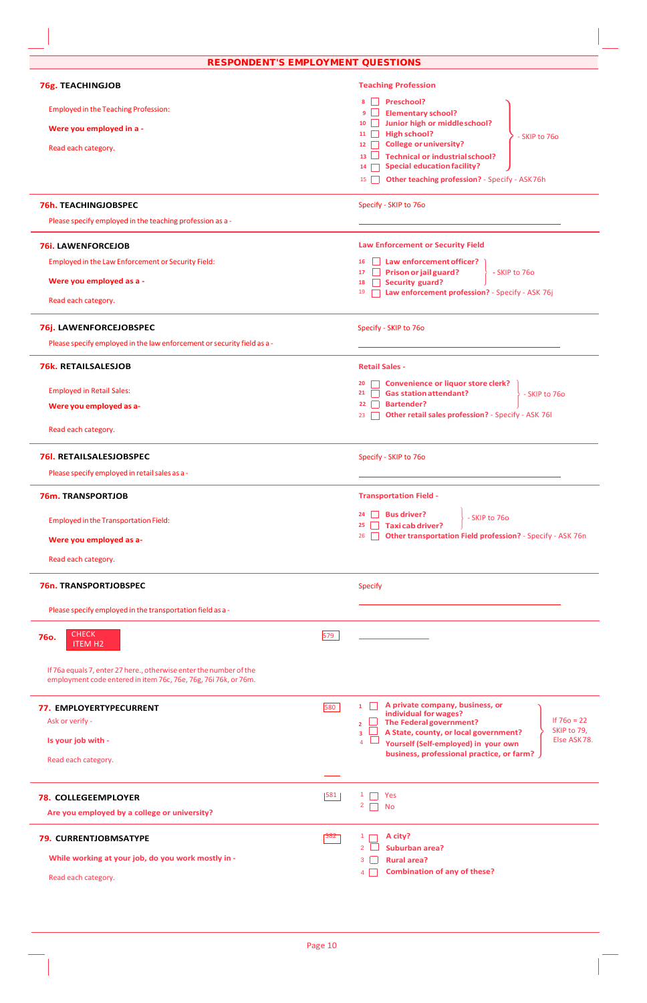| <b>RESPONDENT'S EMPLOYMENT QUESTIONS</b>                                                                                              |     |                                                                                                                                      |
|---------------------------------------------------------------------------------------------------------------------------------------|-----|--------------------------------------------------------------------------------------------------------------------------------------|
| <b>76g. TEACHINGJOB</b>                                                                                                               |     | <b>Teaching Profession</b>                                                                                                           |
| <b>Employed in the Teaching Profession:</b>                                                                                           |     | Preschool?<br>8<br><b>Elementary school?</b><br>9                                                                                    |
| Were you employed in a -                                                                                                              |     | Junior high or middleschool?<br>10<br><b>High school?</b>                                                                            |
| Read each category.                                                                                                                   |     | $11$    <br>- SKIP to 760<br><b>College or university?</b><br>12                                                                     |
|                                                                                                                                       |     | <b>Technical or industrial school?</b><br>13 <sup>7</sup><br><b>Special education facility?</b><br>14                                |
|                                                                                                                                       |     | Other teaching profession? - Specify - ASK76h<br>15                                                                                  |
| <b>76h. TEACHINGJOBSPEC</b>                                                                                                           |     | Specify - SKIP to 760                                                                                                                |
| Please specify employed in the teaching profession as a -                                                                             |     |                                                                                                                                      |
| <b>76i. LAWENFORCEJOB</b>                                                                                                             |     | <b>Law Enforcement or Security Field</b>                                                                                             |
| Employed in the Law Enforcement or Security Field:                                                                                    |     | Law enforcement officer?<br>16<br>$\Box$ Prison or jail guard?<br>- SKIP to 76o<br>17                                                |
| Were you employed as a -                                                                                                              |     | <b>Security guard?</b><br>18<br>Law enforcement profession? - Specify - ASK 76j<br>19                                                |
| Read each category.                                                                                                                   |     |                                                                                                                                      |
| 76j. LAWENFORCEJOBSPEC                                                                                                                |     | Specify - SKIP to 760                                                                                                                |
| Please specify employed in the law enforcement or security field as a -                                                               |     |                                                                                                                                      |
| <b>76k. RETAILSALESJOB</b>                                                                                                            |     | <b>Retail Sales -</b>                                                                                                                |
| <b>Employed in Retail Sales:</b>                                                                                                      |     | <b>Convenience or liquor store clerk?</b><br>20<br><b>Gas station attendant?</b><br>21<br>- SKIP to 760                              |
| Were you employed as a-                                                                                                               |     | <b>Bartender?</b><br>22<br>Other retail sales profession? - Specify - ASK 76I<br>23                                                  |
| Read each category.                                                                                                                   |     |                                                                                                                                      |
| <b>76I. RETAILSALESJOBSPEC</b>                                                                                                        |     | Specify - SKIP to 760                                                                                                                |
| Please specify employed in retail sales as a -                                                                                        |     |                                                                                                                                      |
| <b>76m. TRANSPORTJOB</b>                                                                                                              |     | <b>Transportation Field -</b>                                                                                                        |
| <b>Employed in the Transportation Field:</b>                                                                                          |     | <b>Bus driver?</b><br>24<br>$\mathbf{1}$<br>- SKIP to 76o<br><b>Taxicab driver?</b><br>25                                            |
| Were you employed as a-                                                                                                               |     | Other transportation Field profession? - Specify - ASK 76n<br>26                                                                     |
| Read each category.                                                                                                                   |     |                                                                                                                                      |
| 76n. TRANSPORTJOBSPEC                                                                                                                 |     | <b>Specify</b>                                                                                                                       |
| Please specify employed in the transportation field as a -                                                                            |     |                                                                                                                                      |
| <b>CHECK</b><br><b>760.</b><br><b>ITEM H2</b>                                                                                         | 579 |                                                                                                                                      |
| If 76a equals 7, enter 27 here., otherwise enter the number of the<br>employment code entered in item 76c, 76e, 76g, 76i 76k, or 76m. |     |                                                                                                                                      |
| 77. EMPLOYERTYPECURRENT                                                                                                               | 580 | A private company, business, or<br>$\mathbf{1}$<br>individual for wages?                                                             |
| Ask or verify -                                                                                                                       |     | If $760 = 22$<br>The Federal government?<br>$\overline{2}$<br>SKIP to 79,<br>A State, county, or local government?<br>$\overline{3}$ |
| Is your job with -                                                                                                                    |     | Else ASK78.<br>Yourself (Self-employed) in your own<br>$\overline{4}$<br>business, professional practice, or farm?                   |
| Read each category.                                                                                                                   |     |                                                                                                                                      |
| <b>78. COLLEGEEMPLOYER</b>                                                                                                            | 581 | Yes                                                                                                                                  |
| Are you employed by a college or university?                                                                                          |     | $\overline{2}$<br><b>No</b>                                                                                                          |
| 79. CURRENTJOBMSATYPE                                                                                                                 | 582 | A city?<br>$\mathbf{1}$                                                                                                              |
|                                                                                                                                       |     | $\overline{2}$<br><b>Suburban area?</b>                                                                                              |